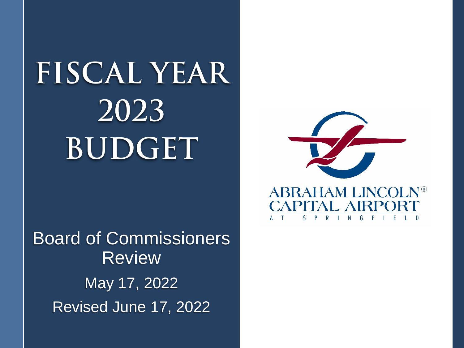# **FISCAL YEAR 2023 BUDGET**

Board of Commissioners Review May 17, 2022 Revised June 17, 2022

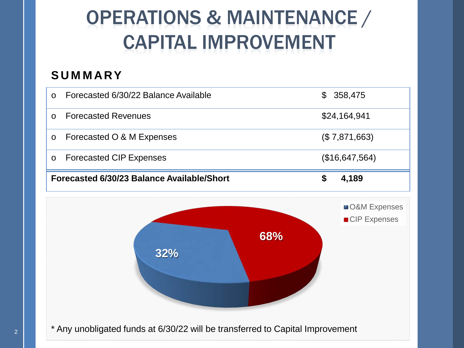# OPERATIONS & MAINTENANCE / CAPITAL IMPROVEMENT

### **SUMMARY**

| $\circ$                                    | Forecasted 6/30/22 Balance Available | $\mathbb{S}^-$ | 358,475                                   |
|--------------------------------------------|--------------------------------------|----------------|-------------------------------------------|
| $\circ$                                    | <b>Forecasted Revenues</b>           |                | \$24,164,941                              |
| $\circ$                                    | Forecasted O & M Expenses            |                | (\$7,871,663)                             |
| $\circ$                                    | <b>Forecasted CIP Expenses</b>       |                | (\$16,647,564)                            |
| Forecasted 6/30/23 Balance Available/Short | 4,189                                |                |                                           |
|                                            |                                      |                | <b>O&amp;M</b> Expenses<br>■ CIP Expenses |
|                                            | 68%<br>32%                           |                |                                           |

\* Any unobligated funds at 6/30/22 will be transferred to Capital Improvement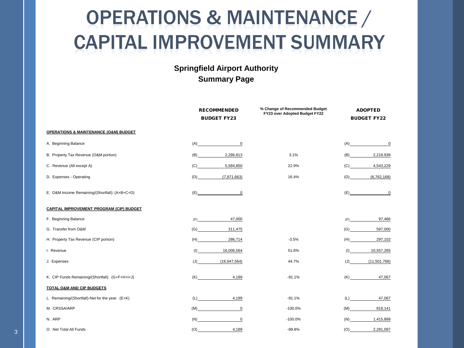# OPERATIONS & MAINTENANCE / CAPITAL IMPROVEMENT SUMMARY

#### **Springfield Airport Authority Summary Page**

|                                                      | <b>RECOMMENDED</b><br><b>BUDGET FY23</b> | % Change of Recommended Budget<br>FY23 over Adopted Budget FY22 | <b>ADOPTED</b><br><b>BUDGET FY22</b> |
|------------------------------------------------------|------------------------------------------|-----------------------------------------------------------------|--------------------------------------|
| <b>OPERATIONS &amp; MAINTENANCE (O&amp;M) BUDGET</b> |                                          |                                                                 |                                      |
| A. Beginning Balance                                 | $\overline{0}$<br>(A)                    |                                                                 | (A)<br>$\overline{0}$                |
| B. Property Tax Revenue (O&M portion)                | (B)<br>2,286,813                         | 3.1%                                                            | 2,218,939<br>(B)                     |
| C. Revenue (All except A)                            | 5,584,850<br>(C)                         | 22.9%                                                           | 4,543,229<br>(C)                     |
| D. Expenses - Operating                              | (7,871,663)<br>(D)                       | 16.4%                                                           | (6, 762, 168)<br>(D)                 |
| E. O&M Income Remaining/(Shortfall): (A+B+C+D)       | $\mathbf 0$<br>(E)                       |                                                                 | $\mathbf 0$<br>(E)                   |
| <b>CAPITAL IMPROVEMENT PROGRAM (CIP) BUDGET</b>      |                                          |                                                                 |                                      |
| F. Beginning Balance                                 | 47,000<br>(F)                            |                                                                 | 97,466<br>(F)                        |
| G. Transfer from O&M                                 | 311,475<br>(G)                           |                                                                 | 597,000<br>(G)                       |
| H. Property Tax Revenue (CIP portion)                | (H)<br>286,714                           | $-3.5%$                                                         | 297,102<br>(H)                       |
| I. Revenue                                           | 16,006,564<br>(1)                        | 51.6%                                                           | 10,557,265<br>(1)                    |
| J. Expenses                                          | (J)<br>(16, 647, 564)                    | 44.7%                                                           | (11,501,766)<br>(J)                  |
| K. CIP Funds Remaining/(Shortfall): (G+F+H+I+J)      | 4,189<br>(K)                             | $-91.1%$                                                        | 47,067<br>(K)                        |
| TOTAL O&M AND CIP BUDGETS                            |                                          |                                                                 |                                      |
| L. Remaining/(Shortfall)-Net for the year: (E+K)     | 4,189<br>(L)                             | $-91.1%$                                                        | 47,067<br>(L)                        |
| M. CRSSA/ARP                                         | (M)<br>$\mathbf 0$                       | $-100.0%$                                                       | 818,141<br>(M)                       |
| N. ARP                                               | $\mathbf 0$<br>(N)                       | $-100.0%$                                                       | (N)<br>1,415,889                     |
| O. Net Total All Funds                               | (O)<br>4,189                             | $-99.8%$                                                        | (O)<br>2,281,097                     |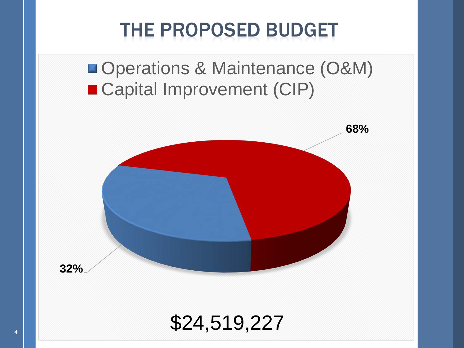# THE PROPOSED BUDGET

**Operations & Maintenance (O&M)** ■ Capital Improvement (CIP)



### \$24,519,227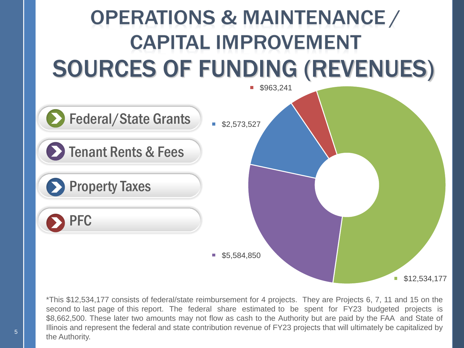

\*This \$12,534,177 consists of federal/state reimbursement for 4 projects. They are Projects 6, 7, 11 and 15 on the second to last page of this report. The federal share estimated to be spent for FY23 budgeted projects is \$8,662,500. These later two amounts may not flow as cash to the Authority but are paid by the FAA and State of Illinois and represent the federal and state contribution revenue of FY23 projects that will ultimately be capitalized by the Authority.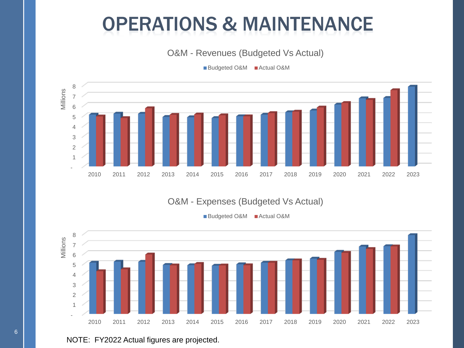### OPERATIONS & MAINTENANCE

O&M - Revenues (Budgeted Vs Actual)

Budgeted O&M Actual O&M



#### O&M - Expenses (Budgeted Vs Actual)

Budgeted O&M Actual O&M



#### NOTE: FY2022 Actual figures are projected.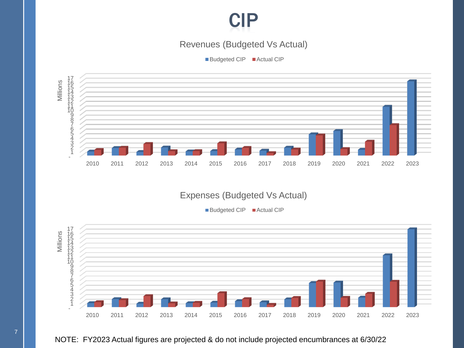

#### Revenues (Budgeted Vs Actual)

Budgeted CIP Actual CIP



#### Expenses (Budgeted Vs Actual)

■Budgeted CIP ■ Actual CIP



#### NOTE: FY2023 Actual figures are projected & do not include projected encumbrances at 6/30/22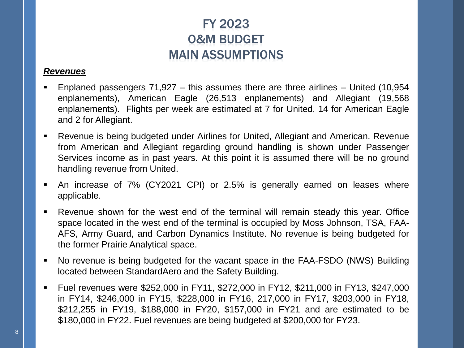### FY 2023 O&M BUDGET MAIN ASSUMPTIONS

#### *Revenues*

- Enplaned passengers 71,927 this assumes there are three airlines United (10,954 enplanements), American Eagle (26,513 enplanements) and Allegiant (19,568 enplanements). Flights per week are estimated at 7 for United, 14 for American Eagle and 2 for Allegiant.
- Revenue is being budgeted under Airlines for United, Allegiant and American. Revenue from American and Allegiant regarding ground handling is shown under Passenger Services income as in past years. At this point it is assumed there will be no ground handling revenue from United.
- An increase of 7% (CY2021 CPI) or 2.5% is generally earned on leases where applicable.
- Revenue shown for the west end of the terminal will remain steady this year. Office space located in the west end of the terminal is occupied by Moss Johnson, TSA, FAA-AFS, Army Guard, and Carbon Dynamics Institute. No revenue is being budgeted for the former Prairie Analytical space.
- No revenue is being budgeted for the vacant space in the FAA-FSDO (NWS) Building located between StandardAero and the Safety Building.
- Fuel revenues were \$252,000 in FY11, \$272,000 in FY12, \$211,000 in FY13, \$247,000 in FY14, \$246,000 in FY15, \$228,000 in FY16, 217,000 in FY17, \$203,000 in FY18, \$212,255 in FY19, \$188,000 in FY20, \$157,000 in FY21 and are estimated to be \$180,000 in FY22. Fuel revenues are being budgeted at \$200,000 for FY23.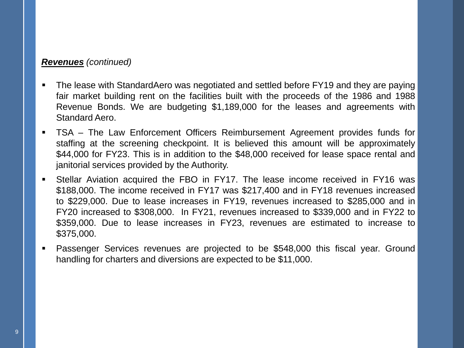#### *Revenues (continued)*

- The lease with StandardAero was negotiated and settled before FY19 and they are paying fair market building rent on the facilities built with the proceeds of the 1986 and 1988 Revenue Bonds. We are budgeting \$1,189,000 for the leases and agreements with Standard Aero.
- TSA The Law Enforcement Officers Reimbursement Agreement provides funds for staffing at the screening checkpoint. It is believed this amount will be approximately \$44,000 for FY23. This is in addition to the \$48,000 received for lease space rental and janitorial services provided by the Authority.
- Stellar Aviation acquired the FBO in FY17. The lease income received in FY16 was \$188,000. The income received in FY17 was \$217,400 and in FY18 revenues increased to \$229,000. Due to lease increases in FY19, revenues increased to \$285,000 and in FY20 increased to \$308,000. In FY21, revenues increased to \$339,000 and in FY22 to \$359,000. Due to lease increases in FY23, revenues are estimated to increase to \$375,000.
- Passenger Services revenues are projected to be \$548,000 this fiscal year. Ground handling for charters and diversions are expected to be \$11,000.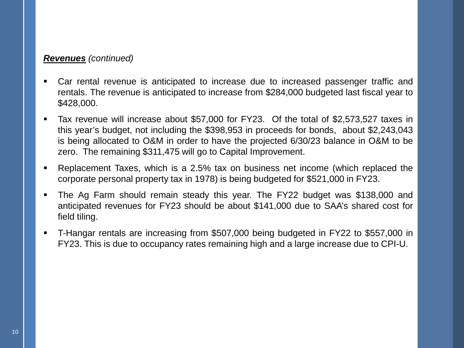#### *Revenues (continued)*

- Car rental revenue is anticipated to increase due to increased passenger traffic and rentals. The revenue is anticipated to increase from \$284,000 budgeted last fiscal year to \$428,000.
- Tax revenue will increase about \$57,000 for FY23. Of the total of \$2,573,527 taxes in this year's budget, not including the \$398,953 in proceeds for bonds, about \$2,243,043 is being allocated to O&M in order to have the projected 6/30/23 balance in O&M to be zero. The remaining \$311,475 will go to Capital Improvement.
- Replacement Taxes, which is a 2.5% tax on business net income (which replaced the corporate personal property tax in 1978) is being budgeted for \$521,000 in FY23.
- The Ag Farm should remain steady this year. The FY22 budget was \$138,000 and anticipated revenues for FY23 should be about \$141,000 due to SAA's shared cost for field tiling.
- T-Hangar rentals are increasing from \$507,000 being budgeted in FY22 to \$557,000 in FY23. This is due to occupancy rates remaining high and a large increase due to CPI-U.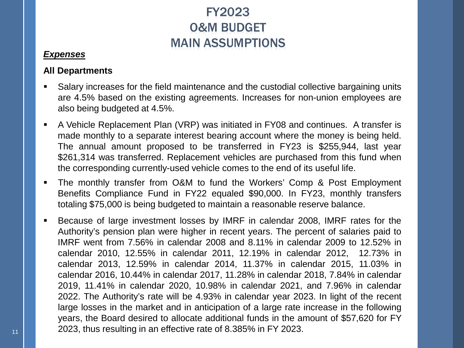### FY2023 O&M BUDGET MAIN ASSUMPTIONS

#### *Expenses*

#### **All Departments**

- Salary increases for the field maintenance and the custodial collective bargaining units are 4.5% based on the existing agreements. Increases for non-union employees are also being budgeted at 4.5%.
- A Vehicle Replacement Plan (VRP) was initiated in FY08 and continues. A transfer is made monthly to a separate interest bearing account where the money is being held. The annual amount proposed to be transferred in FY23 is \$255,944, last year \$261,314 was transferred. Replacement vehicles are purchased from this fund when the corresponding currently-used vehicle comes to the end of its useful life.
- The monthly transfer from O&M to fund the Workers' Comp & Post Employment Benefits Compliance Fund in FY22 equaled \$90,000. In FY23, monthly transfers totaling \$75,000 is being budgeted to maintain a reasonable reserve balance.
- Because of large investment losses by IMRF in calendar 2008, IMRF rates for the Authority's pension plan were higher in recent years. The percent of salaries paid to IMRF went from 7.56% in calendar 2008 and 8.11% in calendar 2009 to 12.52% in calendar 2010, 12.55% in calendar 2011, 12.19% in calendar 2012, 12.73% in calendar 2013, 12.59% in calendar 2014, 11.37% in calendar 2015, 11.03% in calendar 2016, 10.44% in calendar 2017, 11.28% in calendar 2018, 7.84% in calendar 2019, 11.41% in calendar 2020, 10.98% in calendar 2021, and 7.96% in calendar 2022. The Authority's rate will be 4.93% in calendar year 2023. In light of the recent large losses in the market and in anticipation of a large rate increase in the following years, the Board desired to allocate additional funds in the amount of \$57,620 for FY 2023, thus resulting in an effective rate of 8.385% in FY 2023.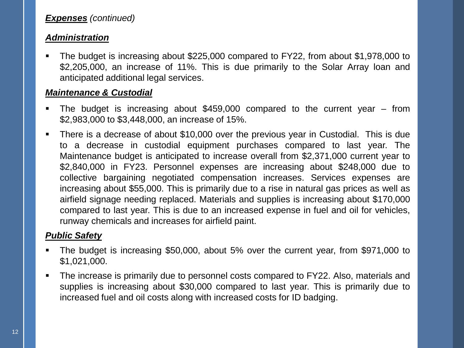#### *Expenses (continued)*

#### *Administration*

 The budget is increasing about \$225,000 compared to FY22, from about \$1,978,000 to \$2,205,000, an increase of 11%. This is due primarily to the Solar Array loan and anticipated additional legal services.

#### *Maintenance & Custodial*

- The budget is increasing about \$459,000 compared to the current year from \$2,983,000 to \$3,448,000, an increase of 15%.
- There is a decrease of about \$10,000 over the previous year in Custodial. This is due to a decrease in custodial equipment purchases compared to last year. The Maintenance budget is anticipated to increase overall from \$2,371,000 current year to \$2,840,000 in FY23. Personnel expenses are increasing about \$248,000 due to collective bargaining negotiated compensation increases. Services expenses are increasing about \$55,000. This is primarily due to a rise in natural gas prices as well as airfield signage needing replaced. Materials and supplies is increasing about \$170,000 compared to last year. This is due to an increased expense in fuel and oil for vehicles, runway chemicals and increases for airfield paint.

#### *Public Safety*

- The budget is increasing \$50,000, about 5% over the current year, from \$971,000 to \$1,021,000.
- The increase is primarily due to personnel costs compared to FY22. Also, materials and supplies is increasing about \$30,000 compared to last year. This is primarily due to increased fuel and oil costs along with increased costs for ID badging.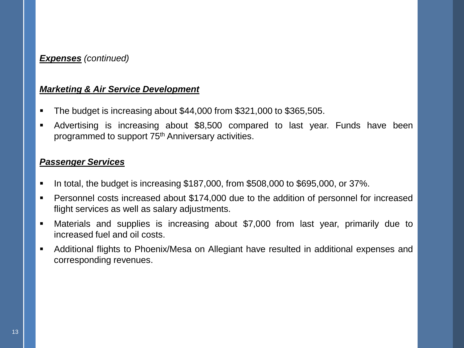#### *Expenses (continued)*

#### *Marketing & Air Service Development*

- The budget is increasing about \$44,000 from \$321,000 to \$365,505.
- Advertising is increasing about \$8,500 compared to last year. Funds have been programmed to support 75th Anniversary activities.

#### *Passenger Services*

- $\blacksquare$  In total, the budget is increasing \$187,000, from \$508,000 to \$695,000, or 37%.
- Personnel costs increased about \$174,000 due to the addition of personnel for increased flight services as well as salary adjustments.
- Materials and supplies is increasing about \$7,000 from last year, primarily due to increased fuel and oil costs.
- Additional flights to Phoenix/Mesa on Allegiant have resulted in additional expenses and corresponding revenues.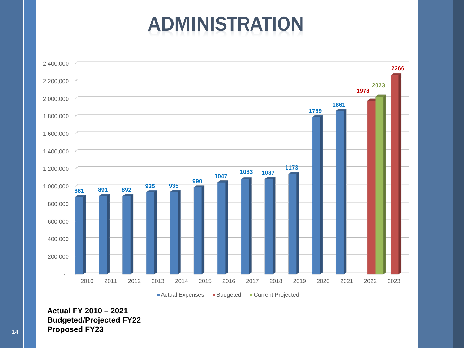# ADMINISTRATION



**Actual FY 2010 – 2021 Budgeted/Projected FY22** <sup>14</sup> **Proposed FY23**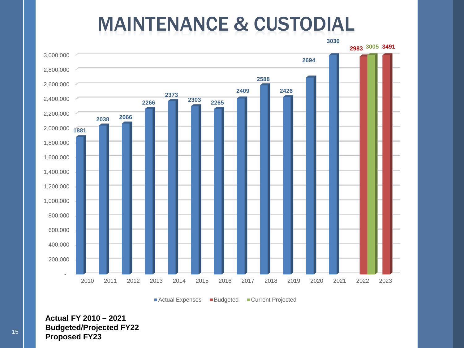### MAINTENANCE & CUSTODIAL



■ Actual Expenses ■ Budgeted ■ Current Projected

**Actual FY 2010 – 2021 Budgeted/Projected FY22** <sup>15</sup> **Proposed FY23**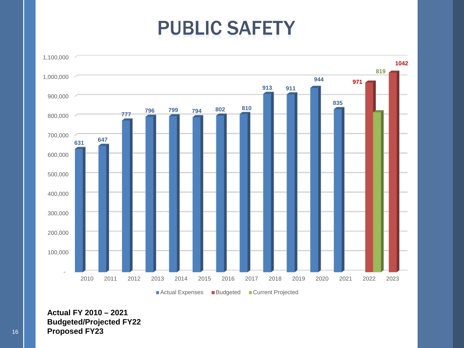# PUBLIC SAFETY



**Actual FY 2010 – 2021 Budgeted/Projected FY22** 16 **Proposed FY23**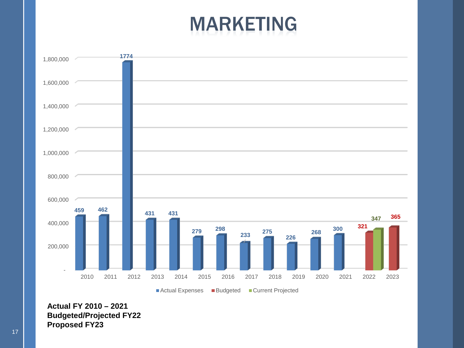## MARKETING



**Actual FY 2010 – 2021 Budgeted/Projected FY22 Proposed FY23**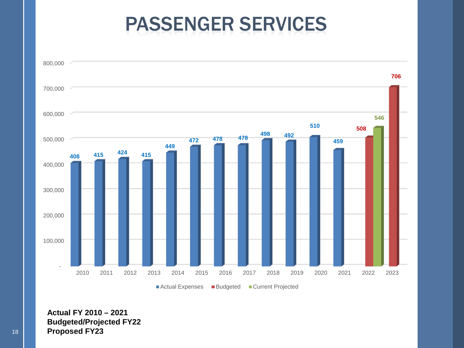### PASSENGER SERVICES



**Actual FY 2010 – 2021 Budgeted/Projected FY22** 18 **Proposed FY23**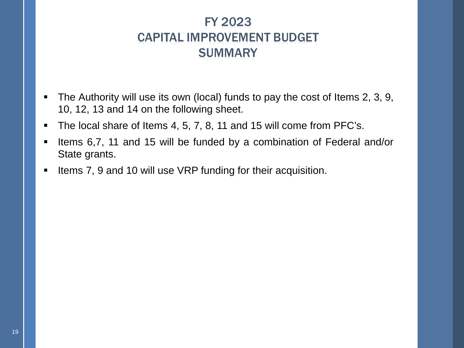### FY 2023 CAPITAL IMPROVEMENT BUDGET **SUMMARY**

- The Authority will use its own (local) funds to pay the cost of Items 2, 3, 9, 10, 12, 13 and 14 on the following sheet.
- The local share of Items 4, 5, 7, 8, 11 and 15 will come from PFC's.
- Items 6,7, 11 and 15 will be funded by a combination of Federal and/or State grants.
- Items 7, 9 and 10 will use VRP funding for their acquisition.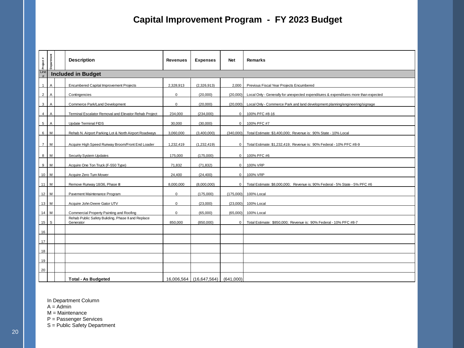#### **Capital Improvement Program - FY 2023 Budget**

| Project#       | Department                |  | <b>Description</b>                                              | <b>Revenues</b> | <b>Expenses</b>         | <b>Net</b>  | Remarks                                                                              |  |  |  |  |
|----------------|---------------------------|--|-----------------------------------------------------------------|-----------------|-------------------------|-------------|--------------------------------------------------------------------------------------|--|--|--|--|
| Line<br>#      | <b>Included in Budget</b> |  |                                                                 |                 |                         |             |                                                                                      |  |  |  |  |
| $\mathbf{1}$   | $\mathsf A$               |  | <b>Encumbered Capital Improvement Projects</b>                  | 2,328,913       | (2,326,913)             | 2,000       | Previous Fiscal Year Projects Encumbered                                             |  |  |  |  |
| $\overline{2}$ | $\overline{A}$            |  | Contingencies                                                   | $\mathbf 0$     | (20,000)                | (20.000)    | Local Only - Generally for unexpected expenditures & expenditures more than expected |  |  |  |  |
| 3              | Α                         |  | Commerce Park/Land Development                                  | $\mathbf 0$     | (20,000)                | (20,000)    | Local Only - Commerce Park and land development planning/engineering/signage         |  |  |  |  |
| $\overline{4}$ | $\overline{A}$            |  | Terminal Escalator Removal and Elevator Rehab Project           | 234,000         | (234,000)               | $\mathbf 0$ | 100% PFC #8-16                                                                       |  |  |  |  |
| 5 <sub>5</sub> | A                         |  | <b>Update Terminal FIDS</b>                                     | 30,000          | (30,000)                | $\mathbf 0$ | 100% PFC #7                                                                          |  |  |  |  |
| 6              | M                         |  | Rehab N. Airport Parking Lot & North Airport Roadways           | 3,060,000       | (3,400,000)             | (340,000)   | Total Estimate: \$3,400,000; Revenue is: 90% State - 10% Local                       |  |  |  |  |
|                |                           |  |                                                                 |                 |                         |             |                                                                                      |  |  |  |  |
| $\overline{7}$ | M                         |  | Acquire High Speed Runway Broom/Front End Loader                | 1,232,419       | (1,232,419)             | $\mathbf 0$ | Total Estimate: \$1,232,419; Revenue is: 90% Federal - 10% PFC #8-9                  |  |  |  |  |
| 8              | M                         |  | Security System Updates                                         | 175,000         | (175,000)               | $\mathbf 0$ | 100% PFC #6                                                                          |  |  |  |  |
| 9              | M                         |  | Acquire One Ton Truck (F-550 Type)                              | 71,832          | (71, 832)               | 0           | 100% VRP                                                                             |  |  |  |  |
| $10$ M         |                           |  | Acquire Zero Turn Mower                                         | 24.400          | (24, 400)               | $\mathbf 0$ | 100% VRP                                                                             |  |  |  |  |
| $11$ M         |                           |  | Remove Runway 18/36, Phase III                                  | 8,000,000       | (8,000,000)             | $\mathbf 0$ | Total Estimate: \$8,000,000; Revenue is: 90% Federal - 5% State - 5% PFC #6          |  |  |  |  |
| $12$ M         |                           |  | Pavement Maintenance Program                                    | $\mathbf 0$     | (175,000)               | (175,000)   | 100% Local                                                                           |  |  |  |  |
| $13$ M         |                           |  | Acquire John Deere Gator UTV                                    | $\mathbf 0$     | (23,000)                | (23,000)    | 100% Local                                                                           |  |  |  |  |
| $14$ M         |                           |  | Commercial Property Painting and Roofing                        | $\mathbf 0$     | (65.000)                | (65.000)    | 100% Local                                                                           |  |  |  |  |
| $15$ S         |                           |  | Rehab Public Safety Buliding, Phase II and Replace<br>Generator | 850,000         | (850,000)               | 0           | Total Estimate: \$850,000; Revenue is: 90% Federal - 10% PFC #8-7                    |  |  |  |  |
| 16             |                           |  |                                                                 |                 |                         |             |                                                                                      |  |  |  |  |
| 17             |                           |  |                                                                 |                 |                         |             |                                                                                      |  |  |  |  |
| 18             |                           |  |                                                                 |                 |                         |             |                                                                                      |  |  |  |  |
| 19             |                           |  |                                                                 |                 |                         |             |                                                                                      |  |  |  |  |
| 20             |                           |  |                                                                 |                 |                         |             |                                                                                      |  |  |  |  |
|                |                           |  | <b>Total - As Budgeted</b>                                      |                 | 16,006,564 (16,647,564) | (641.000)   |                                                                                      |  |  |  |  |

In Department Column

 $A = \overrightarrow{A}$ dmin

M = Maintenance

P = Passenger Services

S = Public Safety Department